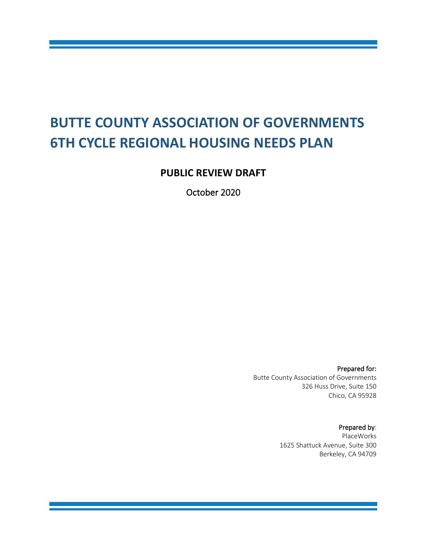## **BUTTE COUNTY ASSOCIATION OF GOVERNMENTS 6TH CYCLE REGIONAL HOUSING NEEDS PLAN**

**PUBLIC REVIEW DRAFT**

October 2020

Prepared for: Butte County Association of Governments 326 Huss Drive, Suite 150 Chico, CA 95928

> Prepared by: PlaceWorks 1625 Shattuck Avenue, Suite 300 Berkeley, CA 94709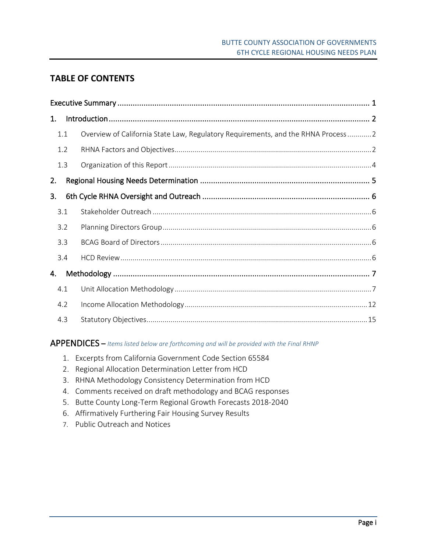### **TABLE OF CONTENTS**

| 1.  |                                                                                  |
|-----|----------------------------------------------------------------------------------|
| 1.1 | Overview of California State Law, Regulatory Requirements, and the RHNA Process2 |
| 1.2 |                                                                                  |
| 1.3 |                                                                                  |
| 2.  |                                                                                  |
| 3.  |                                                                                  |
| 3.1 |                                                                                  |
| 3.2 |                                                                                  |
| 3.3 |                                                                                  |
| 3.4 |                                                                                  |
| 4.  |                                                                                  |
| 4.1 |                                                                                  |
| 4.2 |                                                                                  |
| 4.3 |                                                                                  |

#### APPENDICES – *Items listed below are forthcoming and will be provided with the Final RHNP*

- 1. Excerpts from California Government Code Section 65584
- 2. Regional Allocation Determination Letter from HCD
- 3. RHNA Methodology Consistency Determination from HCD
- 4. Comments received on draft methodology and BCAG responses
- 5. Butte County Long-Term Regional Growth Forecasts 2018-2040
- 6. Affirmatively Furthering Fair Housing Survey Results
- 7. Public Outreach and Notices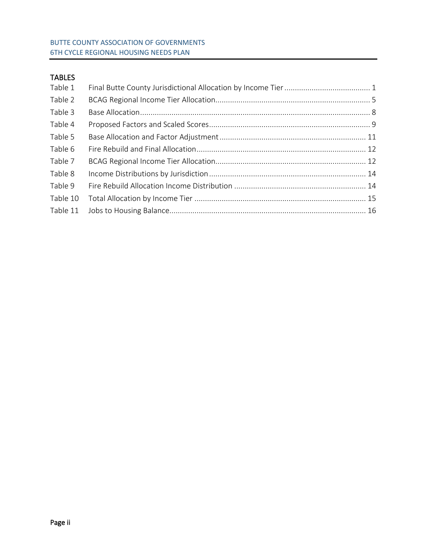#### BUTTE COUNTY ASSOCIATION OF GOVERNMENTS 6TH CYCLE REGIONAL HOUSING NEEDS PLAN

#### TABLES

| Table 1  |  |
|----------|--|
| Table 2  |  |
| Table 3  |  |
| Table 4  |  |
| Table 5  |  |
| Table 6  |  |
| Table 7  |  |
| Table 8  |  |
| Table 9  |  |
| Table 10 |  |
| Table 11 |  |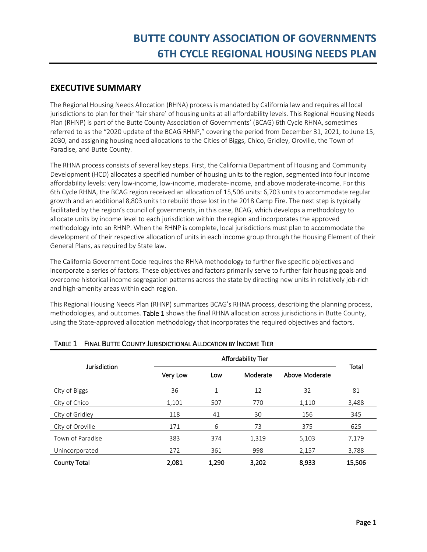## **BUTTE COUNTY ASSOCIATION OF GOVERNMENTS 6TH CYCLE REGIONAL HOUSING NEEDS PLAN**

#### **EXECUTIVE SUMMARY**

The Regional Housing Needs Allocation (RHNA) process is mandated by California law and requires all local jurisdictions to plan for their 'fair share' of housing units at all affordability levels. This Regional Housing Needs Plan (RHNP) is part of the Butte County Association of Governments' (BCAG) 6th Cycle RHNA, sometimes referred to as the "2020 update of the BCAG RHNP," covering the period from December 31, 2021, to June 15, 2030, and assigning housing need allocations to the Cities of Biggs, Chico, Gridley, Oroville, the Town of Paradise, and Butte County.

The RHNA process consists of several key steps. First, the California Department of Housing and Community Development (HCD) allocates a specified number of housing units to the region, segmented into four income affordability levels: very low-income, low-income, moderate-income, and above moderate-income. For this 6th Cycle RHNA, the BCAG region received an allocation of 15,506 units: 6,703 units to accommodate regular growth and an additional 8,803 units to rebuild those lost in the 2018 Camp Fire. The next step is typically facilitated by the region's council of governments, in this case, BCAG, which develops a methodology to allocate units by income level to each jurisdiction within the region and incorporates the approved methodology into an RHNP. When the RHNP is complete, local jurisdictions must plan to accommodate the development of their respective allocation of units in each income group through the Housing Element of their General Plans, as required by State law.

The California Government Code requires the RHNA methodology to further five specific objectives and incorporate a series of factors. These objectives and factors primarily serve to further fair housing goals and overcome historical income segregation patterns across the state by directing new units in relatively job-rich and high-amenity areas within each region.

This Regional Housing Needs Plan (RHNP) summarizes BCAG's RHNA process, describing the planning process, methodologies, and outcomes. Table 1 shows the final RHNA allocation across jurisdictions in Butte County, using the State-approved allocation methodology that incorporates the required objectives and factors.

|                     |                 | <b>Affordability Tier</b> |          |                |              |  |  |  |
|---------------------|-----------------|---------------------------|----------|----------------|--------------|--|--|--|
| <b>Jurisdiction</b> | Very Low<br>Low |                           | Moderate | Above Moderate | <b>Total</b> |  |  |  |
| City of Biggs       | 36              |                           | 12       | 32             | 81           |  |  |  |
| City of Chico       | 1,101           | 507                       | 770      | 1,110          | 3,488        |  |  |  |
| City of Gridley     | 118             | 41                        | 30       | 156            | 345          |  |  |  |
| City of Oroville    | 171             | 6                         | 73       | 375            | 625          |  |  |  |
| Town of Paradise    | 383             | 374                       | 1,319    | 5,103          | 7,179        |  |  |  |
| Unincorporated      | 272             | 361                       | 998      | 2,157          | 3,788        |  |  |  |
| <b>County Total</b> | 2.081           | 1.290                     | 3,202    | 8.933          | 15,506       |  |  |  |

#### TABLE 1 FINAL BUTTE COUNTY JURISDICTIONAL ALLOCATION BY INCOME TIER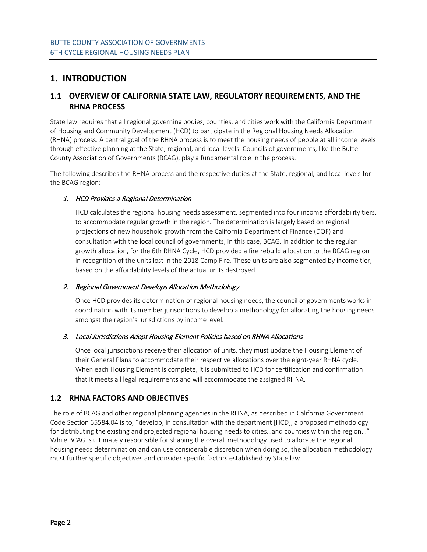#### **1. INTRODUCTION**

#### **1.1 OVERVIEW OF CALIFORNIA STATE LAW, REGULATORY REQUIREMENTS, AND THE RHNA PROCESS**

State law requires that all regional governing bodies, counties, and cities work with the California Department of Housing and Community Development (HCD) to participate in the Regional Housing Needs Allocation (RHNA) process. A central goal of the RHNA process is to meet the housing needs of people at all income levels through effective planning at the State, regional, and local levels. Councils of governments, like the Butte County Association of Governments (BCAG), play a fundamental role in the process.

The following describes the RHNA process and the respective duties at the State, regional, and local levels for the BCAG region:

#### 1. HCD Provides a Regional Determination

HCD calculates the regional housing needs assessment, segmented into four income affordability tiers, to accommodate regular growth in the region. The determination is largely based on regional projections of new household growth from the California Department of Finance (DOF) and consultation with the local council of governments, in this case, BCAG. In addition to the regular growth allocation, for the 6th RHNA Cycle, HCD provided a fire rebuild allocation to the BCAG region in recognition of the units lost in the 2018 Camp Fire. These units are also segmented by income tier, based on the affordability levels of the actual units destroyed.

#### 2. Regional Government Develops Allocation Methodology

Once HCD provides its determination of regional housing needs, the council of governments works in coordination with its member jurisdictions to develop a methodology for allocating the housing needs amongst the region's jurisdictions by income level.

#### 3. Local Jurisdictions Adopt Housing Element Policies based on RHNA Allocations

Once local jurisdictions receive their allocation of units, they must update the Housing Element of their General Plans to accommodate their respective allocations over the eight-year RHNA cycle. When each Housing Element is complete, it is submitted to HCD for certification and confirmation that it meets all legal requirements and will accommodate the assigned RHNA.

#### **1.2 RHNA FACTORS AND OBJECTIVES**

The role of BCAG and other regional planning agencies in the RHNA, as described in California Government Code Section 65584.04 is to, "develop, in consultation with the department [HCD], a proposed methodology for distributing the existing and projected regional housing needs to cities…and counties within the region..." While BCAG is ultimately responsible for shaping the overall methodology used to allocate the regional housing needs determination and can use considerable discretion when doing so, the allocation methodology must further specific objectives and consider specific factors established by State law.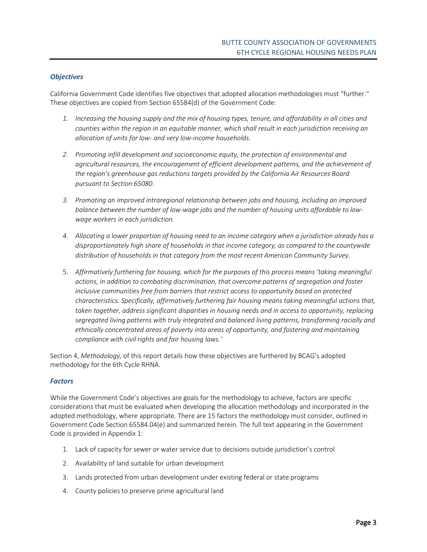#### *Objectives*

California Government Code identifies five objectives that adopted allocation methodologies must "further." These objectives are copied from Section 65584(d) of the Government Code:

- *1. Increasing the housing supply and the mix of housing types, tenure, and affordability in all cities and counties within the region in an equitable manner, which shall result in each jurisdiction receiving an allocation of units for low- and very low-income households.*
- *2. Promoting infill development and socioeconomic equity, the protection of environmental and agricultural resources, the encouragement of efficient development patterns, and the achievement of the region's greenhouse gas reductions targets provided by the California Air Resources Board pursuant to Section 65080.*
- *3. Promoting an improved intraregional relationship between jobs and housing, including an improved balance between the number of low-wage jobs and the number of housing units affordable to lowwage workers in each jurisdiction.*
- *4. Allocating a lower proportion of housing need to an income category when a jurisdiction already has a disproportionately high share of households in that income category, as compared to the countywide distribution of households in that category from the most recent American Community Survey.*
- 5. *Affirmatively furthering fair housing, which for the purposes of this process means 'taking meaningful actions, in addition to combating discrimination, that overcome patterns of segregation and foster inclusive communities free from barriers that restrict access to opportunity based on protected characteristics. Specifically, affirmatively furthering fair housing means taking meaningful actions that,*  taken together, address significant disparities in housing needs and in access to opportunity, replacing *segregated living patterns with truly integrated and balanced living patterns, transforming racially and ethnically concentrated areas of poverty into areas of opportunity, and fostering and maintaining compliance with civil rights and fair housing laws.'*

Section 4, *Methodology,* of this report details how these objectives are furthered by BCAG's adopted methodology for the 6th Cycle RHNA.

#### *Factors*

While the Government Code's objectives are goals for the methodology to achieve, factors are specific considerations that must be evaluated when developing the allocation methodology and incorporated in the adopted methodology, where appropriate. There are 15 factors the methodology must consider, outlined in Government Code Section 65584.04(e) and summarized herein. The full text appearing in the Government Code is provided in Appendix 1:

- 1. Lack of capacity for sewer or water service due to decisions outside jurisdiction's control
- 2. Availability of land suitable for urban development
- 3. Lands protected from urban development under existing federal or state programs
- 4. County policies to preserve prime agricultural land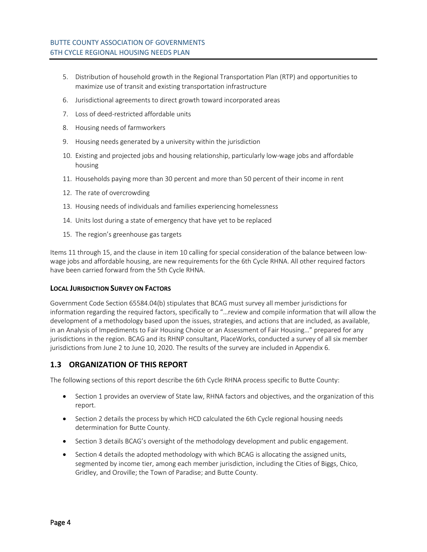#### BUTTE COUNTY ASSOCIATION OF GOVERNMENTS 6TH CYCLE REGIONAL HOUSING NEEDS PLAN

- 5. Distribution of household growth in the Regional Transportation Plan (RTP) and opportunities to maximize use of transit and existing transportation infrastructure
- 6. Jurisdictional agreements to direct growth toward incorporated areas
- 7. Loss of deed-restricted affordable units
- 8. Housing needs of farmworkers
- 9. Housing needs generated by a university within the jurisdiction
- 10. Existing and projected jobs and housing relationship, particularly low-wage jobs and affordable housing
- 11. Households paying more than 30 percent and more than 50 percent of their income in rent
- 12. The rate of overcrowding
- 13. Housing needs of individuals and families experiencing homelessness
- 14. Units lost during a state of emergency that have yet to be replaced
- 15. The region's greenhouse gas targets

Items 11 through 15, and the clause in item 10 calling for special consideration of the balance between lowwage jobs and affordable housing, are new requirements for the 6th Cycle RHNA. All other required factors have been carried forward from the 5th Cycle RHNA.

#### **LOCAL JURISDICTION SURVEY ON FACTORS**

Government Code Section 65584.04(b) stipulates that BCAG must survey all member jurisdictions for information regarding the required factors, specifically to "…review and compile information that will allow the development of a methodology based upon the issues, strategies, and actions that are included, as available, in an Analysis of Impediments to Fair Housing Choice or an Assessment of Fair Housing…" prepared for any jurisdictions in the region. BCAG and its RHNP consultant, PlaceWorks, conducted a survey of all six member jurisdictions from June 2 to June 10, 2020. The results of the survey are included in Appendix 6.

#### **1.3 ORGANIZATION OF THIS REPORT**

The following sections of this report describe the 6th Cycle RHNA process specific to Butte County:

- Section 1 provides an overview of State law, RHNA factors and objectives, and the organization of this report.
- Section 2 details the process by which HCD calculated the 6th Cycle regional housing needs determination for Butte County.
- Section 3 details BCAG's oversight of the methodology development and public engagement.
- Section 4 details the adopted methodology with which BCAG is allocating the assigned units, segmented by income tier, among each member jurisdiction, including the Cities of Biggs, Chico, Gridley, and Oroville; the Town of Paradise; and Butte County.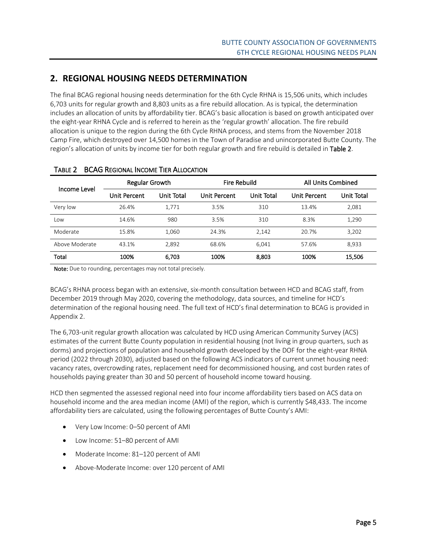#### **2. REGIONAL HOUSING NEEDS DETERMINATION**

The final BCAG regional housing needs determination for the 6th Cycle RHNA is 15,506 units, which includes 6,703 units for regular growth and 8,803 units as a fire rebuild allocation. As is typical, the determination includes an allocation of units by affordability tier. BCAG's basic allocation is based on growth anticipated over the eight-year RHNA Cycle and is referred to herein as the 'regular growth' allocation. The fire rebuild allocation is unique to the region during the 6th Cycle RHNA process, and stems from the November 2018 Camp Fire, which destroyed over 14,500 homes in the Town of Paradise and unincorporated Butte County. The region's allocation of units by income tier for both regular growth and fire rebuild is detailed in Table 2.

| Income Level   | Regular Growth |                   | Fire Rebuild   |            | All Units Combined |            |  |
|----------------|----------------|-------------------|----------------|------------|--------------------|------------|--|
|                | Unit Percent   | <b>Unit Total</b> | Unit Percent   | Unit Total | Unit Percent       | Unit Total |  |
| Very low       | 26.4%          | 1,771             | 3.5%           | 310        | 13.4%              | 2,081      |  |
| Low            | 14.6%          | 980               | 3.5%           | 310        | 8.3%               | 1,290      |  |
| Moderate       | 15.8%          | 1.060             | 24.3%          | 2.142      | 20.7%              | 3,202      |  |
| Above Moderate | 43.1%<br>2,892 |                   | 68.6%<br>6.041 |            | 57.6%              | 8.933      |  |
| <b>Total</b>   | 100%           | 6,703             | 100%           | 8,803      | 100%               | 15,506     |  |

#### TABLE 2 BCAG REGIONAL INCOME TIER ALLOCATION

Note: Due to rounding, percentages may not total precisely.

BCAG's RHNA process began with an extensive, six-month consultation between HCD and BCAG staff, from December 2019 through May 2020, covering the methodology, data sources, and timeline for HCD's determination of the regional housing need. The full text of HCD's final determination to BCAG is provided in Appendix 2.

The 6,703-unit regular growth allocation was calculated by HCD using American Community Survey (ACS) estimates of the current Butte County population in residential housing (not living in group quarters, such as dorms) and projections of population and household growth developed by the DOF for the eight-year RHNA period (2022 through 2030), adjusted based on the following ACS indicators of current unmet housing need: vacancy rates, overcrowding rates, replacement need for decommissioned housing, and cost burden rates of households paying greater than 30 and 50 percent of household income toward housing.

HCD then segmented the assessed regional need into four income affordability tiers based on ACS data on household income and the area median income (AMI) of the region, which is currently \$48,433. The income affordability tiers are calculated, using the following percentages of Butte County's AMI:

- Very Low Income: 0–50 percent of AMI
- Low Income: 51–80 percent of AMI
- Moderate Income: 81–120 percent of AMI
- Above-Moderate Income: over 120 percent of AMI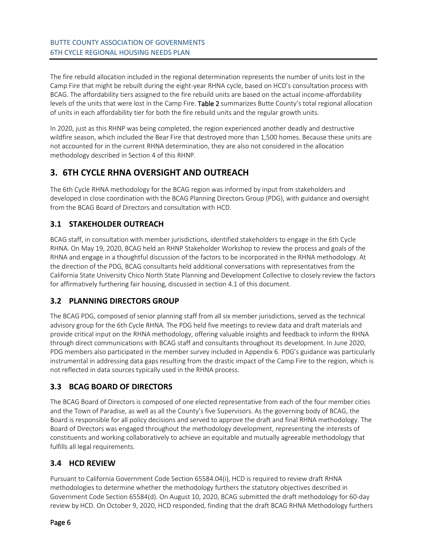The fire rebuild allocation included in the regional determination represents the number of units lost in the Camp Fire that might be rebuilt during the eight-year RHNA cycle, based on HCD's consultation process with BCAG. The affordability tiers assigned to the fire rebuild units are based on the actual income-affordability levels of the units that were lost in the Camp Fire. Table 2 summarizes Butte County's total regional allocation of units in each affordability tier for both the fire rebuild units and the regular growth units.

In 2020, just as this RHNP was being completed, the region experienced another deadly and destructive wildfire season, which included the Bear Fire that destroyed more than 1,500 homes. Because these units are not accounted for in the current RHNA determination, they are also not considered in the allocation methodology described in Section 4 of this RHNP.

### **3. 6TH CYCLE RHNA OVERSIGHT AND OUTREACH**

The 6th Cycle RHNA methodology for the BCAG region was informed by input from stakeholders and developed in close coordination with the BCAG Planning Directors Group (PDG), with guidance and oversight from the BCAG Board of Directors and consultation with HCD.

#### **3.1 STAKEHOLDER OUTREACH**

BCAG staff, in consultation with member jurisdictions, identified stakeholders to engage in the 6th Cycle RHNA. On May 19, 2020, BCAG held an RHNP Stakeholder Workshop to review the process and goals of the RHNA and engage in a thoughtful discussion of the factors to be incorporated in the RHNA methodology. At the direction of the PDG, BCAG consultants held additional conversations with representatives from the California State University Chico North State Planning and Development Collective to closely review the factors for affirmatively furthering fair housing, discussed in section 4.1 of this document.

#### **3.2 PLANNING DIRECTORS GROUP**

The BCAG PDG, composed of senior planning staff from all six member jurisdictions, served as the technical advisory group for the 6th Cycle RHNA. The PDG held five meetings to review data and draft materials and provide critical input on the RHNA methodology, offering valuable insights and feedback to inform the RHNA through direct communications with BCAG staff and consultants throughout its development. In June 2020, PDG members also participated in the member survey included in Appendix 6. PDG's guidance was particularly instrumental in addressing data gaps resulting from the drastic impact of the Camp Fire to the region, which is not reflected in data sources typically used in the RHNA process.

#### **3.3 BCAG BOARD OF DIRECTORS**

The BCAG Board of Directors is composed of one elected representative from each of the four member cities and the Town of Paradise, as well as all the County's five Supervisors. As the governing body of BCAG, the Board is responsible for all policy decisions and served to approve the draft and final RHNA methodology. The Board of Directors was engaged throughout the methodology development, representing the interests of constituents and working collaboratively to achieve an equitable and mutually agreeable methodology that fulfills all legal requirements.

#### **3.4 HCD REVIEW**

Pursuant to California Government Code Section 65584.04(i), HCD is required to review draft RHNA methodologies to determine whether the methodology furthers the statutory objectives described in Government Code Section 65584(d). On August 10, 2020, BCAG submitted the draft methodology for 60-day review by HCD. On October 9, 2020, HCD responded, finding that the draft BCAG RHNA Methodology furthers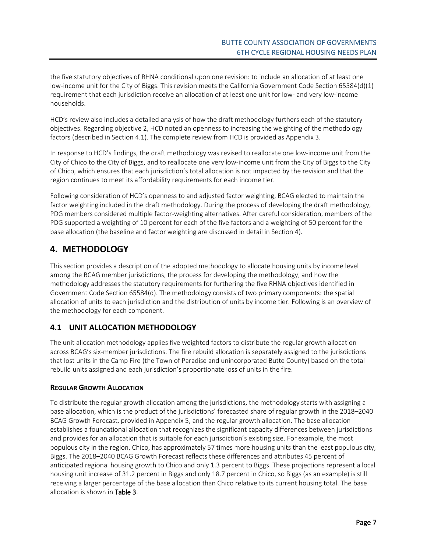the five statutory objectives of RHNA conditional upon one revision: to include an allocation of at least one low-income unit for the City of Biggs. This revision meets the California Government Code Section 65584(d)(1) requirement that each jurisdiction receive an allocation of at least one unit for low- and very low-income households.

HCD's review also includes a detailed analysis of how the draft methodology furthers each of the statutory objectives. Regarding objective 2, HCD noted an openness to increasing the weighting of the methodology factors (described in Section 4.1). The complete review from HCD is provided as Appendix 3.

In response to HCD's findings, the draft methodology was revised to reallocate one low-income unit from the City of Chico to the City of Biggs, and to reallocate one very low-income unit from the City of Biggs to the City of Chico, which ensures that each jurisdiction's total allocation is not impacted by the revision and that the region continues to meet its affordability requirements for each income tier.

Following consideration of HCD's openness to and adjusted factor weighting, BCAG elected to maintain the factor weighting included in the draft methodology. During the process of developing the draft methodology, PDG members considered multiple factor-weighting alternatives. After careful consideration, members of the PDG supported a weighting of 10 percent for each of the five factors and a weighting of 50 percent for the base allocation (the baseline and factor weighting are discussed in detail in Section 4).

## **4. METHODOLOGY**

This section provides a description of the adopted methodology to allocate housing units by income level among the BCAG member jurisdictions, the process for developing the methodology, and how the methodology addresses the statutory requirements for furthering the five RHNA objectives identified in Government Code Section 65584(d). The methodology consists of two primary components: the spatial allocation of units to each jurisdiction and the distribution of units by income tier. Following is an overview of the methodology for each component.

#### **4.1 UNIT ALLOCATION METHODOLOGY**

The unit allocation methodology applies five weighted factors to distribute the regular growth allocation across BCAG's six-member jurisdictions. The fire rebuild allocation is separately assigned to the jurisdictions that lost units in the Camp Fire (the Town of Paradise and unincorporated Butte County) based on the total rebuild units assigned and each jurisdiction's proportionate loss of units in the fire.

#### **REGULAR GROWTH ALLOCATION**

To distribute the regular growth allocation among the jurisdictions, the methodology starts with assigning a base allocation, which is the product of the jurisdictions' forecasted share of regular growth in the 2018–2040 BCAG Growth Forecast, provided in Appendix 5, and the regular growth allocation. The base allocation establishes a foundational allocation that recognizes the significant capacity differences between jurisdictions and provides for an allocation that is suitable for each jurisdiction's existing size. For example, the most populous city in the region, Chico, has approximately 57 times more housing units than the least populous city, Biggs. The 2018–2040 BCAG Growth Forecast reflects these differences and attributes 45 percent of anticipated regional housing growth to Chico and only 1.3 percent to Biggs. These projections represent a local housing unit increase of 31.2 percent in Biggs and only 18.7 percent in Chico, so Biggs (as an example) is still receiving a larger percentage of the base allocation than Chico relative to its current housing total. The base allocation is shown in Table 3.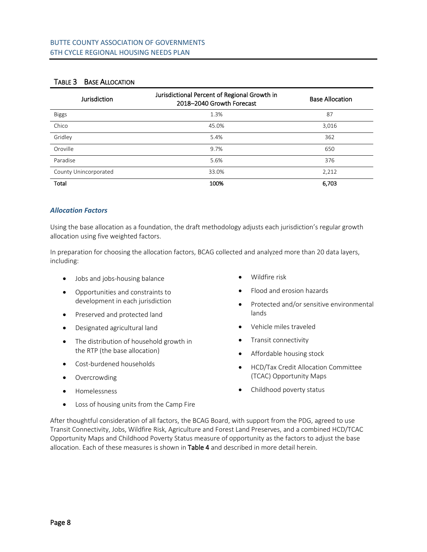#### TABLE 3 BASE ALLOCATION

| Jurisdiction          | Jurisdictional Percent of Regional Growth in<br>2018-2040 Growth Forecast | <b>Base Allocation</b> |
|-----------------------|---------------------------------------------------------------------------|------------------------|
| <b>Biggs</b>          | 1.3%                                                                      | 87                     |
| Chico                 | 45.0%                                                                     | 3,016                  |
| Gridley               | 5.4%                                                                      | 362                    |
| Oroville              | 9.7%                                                                      | 650                    |
| Paradise              | 5.6%                                                                      | 376                    |
| County Unincorporated | 33.0%                                                                     | 2,212                  |
| Total                 | 100%                                                                      | 6,703                  |

#### *Allocation Factors*

Using the base allocation as a foundation, the draft methodology adjusts each jurisdiction's regular growth allocation using five weighted factors.

In preparation for choosing the allocation factors, BCAG collected and analyzed more than 20 data layers, including:

- Jobs and jobs-housing balance
- Opportunities and constraints to development in each jurisdiction
- Preserved and protected land
- Designated agricultural land
- The distribution of household growth in the RTP (the base allocation)
- Cost-burdened households
- Overcrowding
- Homelessness
- Loss of housing units from the Camp Fire
- Wildfire risk
- Flood and erosion hazards
- Protected and/or sensitive environmental lands
- Vehicle miles traveled
- Transit connectivity
- Affordable housing stock
- HCD/Tax Credit Allocation Committee (TCAC) Opportunity Maps
- Childhood poverty status

After thoughtful consideration of all factors, the BCAG Board, with support from the PDG, agreed to use Transit Connectivity, Jobs, Wildfire Risk, Agriculture and Forest Land Preserves, and a combined HCD/TCAC Opportunity Maps and Childhood Poverty Status measure of opportunity as the factors to adjust the base allocation. Each of these measures is shown in **Table 4** and described in more detail herein.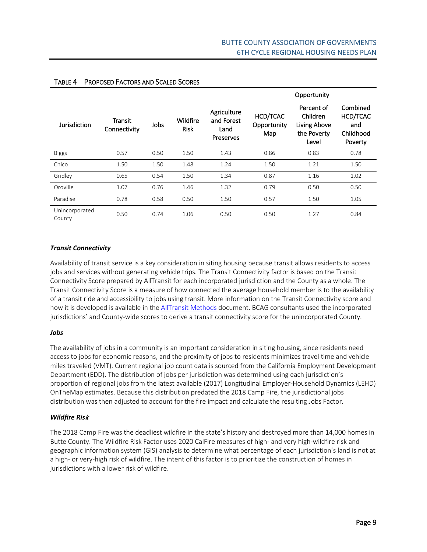|                          |                                |      |                  |                                                | Opportunity                    |                                                                |                                                     |  |
|--------------------------|--------------------------------|------|------------------|------------------------------------------------|--------------------------------|----------------------------------------------------------------|-----------------------------------------------------|--|
| Jurisdiction             | <b>Transit</b><br>Connectivity | Jobs | Wildfire<br>Risk | Agriculture<br>and Forest<br>Land<br>Preserves | HCD/TCAC<br>Opportunity<br>Map | Percent of<br>Children<br>Living Above<br>the Poverty<br>Level | Combined<br>HCD/TCAC<br>and<br>Childhood<br>Poverty |  |
| <b>Biggs</b>             | 0.57                           | 0.50 | 1.50             | 1.43                                           | 0.86                           | 0.83                                                           | 0.78                                                |  |
| Chico                    | 1.50                           | 1.50 | 1.48             | 1.24                                           | 1.50                           | 1.21                                                           | 1.50                                                |  |
| Gridley                  | 0.65                           | 0.54 | 1.50             | 1.34                                           | 0.87                           | 1.16                                                           | 1.02                                                |  |
| Oroville                 | 1.07                           | 0.76 | 1.46             | 1.32                                           | 0.79                           | 0.50                                                           | 0.50                                                |  |
| Paradise                 | 0.78                           | 0.58 | 0.50             | 1.50                                           | 0.57                           | 1.50                                                           | 1.05                                                |  |
| Unincorporated<br>County | 0.50                           | 0.74 | 1.06             | 0.50                                           | 0.50                           | 1.27                                                           | 0.84                                                |  |

#### TABLE 4 PROPOSED FACTORS AND SCALED SCORES

#### *Transit Connectivity*

Availability of transit service is a key consideration in siting housing because transit allows residents to access jobs and services without generating vehicle trips. The Transit Connectivity factor is based on the Transit Connectivity Score prepared by AllTransit for each incorporated jurisdiction and the County as a whole. The Transit Connectivity Score is a measure of how connected the average household member is to the availability of a transit ride and accessibility to jobs using transit. More information on the Transit Connectivity score and how it is developed is available in the [AllTransit Methods](https://alltransit.cnt.org/methods/AllTransit-Methods.pdf) document. BCAG consultants used the incorporated jurisdictions' and County-wide scores to derive a transit connectivity score for the unincorporated County.

#### *Jobs*

The availability of jobs in a community is an important consideration in siting housing, since residents need access to jobs for economic reasons, and the proximity of jobs to residents minimizes travel time and vehicle miles traveled (VMT). Current regional job count data is sourced from the California Employment Development Department (EDD). The distribution of jobs per jurisdiction was determined using each jurisdiction's proportion of regional jobs from the latest available (2017) Longitudinal Employer-Household Dynamics (LEHD) OnTheMap estimates. Because this distribution predated the 2018 Camp Fire, the jurisdictional jobs distribution was then adjusted to account for the fire impact and calculate the resulting Jobs Factor.

#### *Wildfire Ris*<sup>k</sup>

The 2018 Camp Fire was the deadliest wildfire in the state's history and destroyed more than 14,000 homes in Butte County. The Wildfire Risk Factor uses 2020 CalFire measures of high- and very high-wildfire risk and geographic information system (GIS) analysis to determine what percentage of each jurisdiction's land is not at a high- or very-high risk of wildfire. The intent of this factor is to prioritize the construction of homes in jurisdictions with a lower risk of wildfire.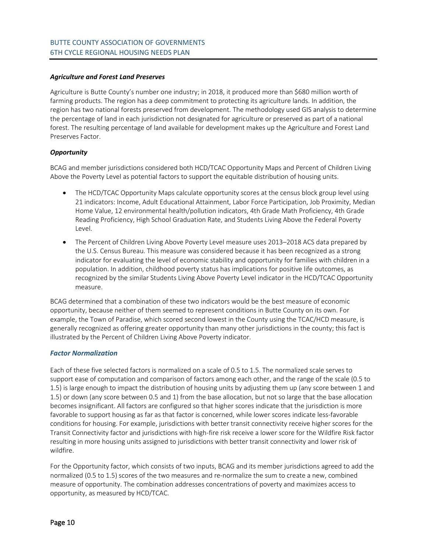#### *Agriculture and Forest Land Preserves*

Agriculture is Butte County's number one industry; in 2018, it produced more than \$680 million worth of farming products. The region has a deep commitment to protecting its agriculture lands. In addition, the region has two national forests preserved from development. The methodology used GIS analysis to determine the percentage of land in each jurisdiction not designated for agriculture or preserved as part of a national forest. The resulting percentage of land available for development makes up the Agriculture and Forest Land Preserves Factor.

#### *Opportunity*

BCAG and member jurisdictions considered both HCD/TCAC Opportunity Maps and Percent of Children Living Above the Poverty Level as potential factors to support the equitable distribution of housing units.

- The HCD/TCAC Opportunity Maps calculate opportunity scores at the census block group level using 21 indicators: Income, Adult Educational Attainment, Labor Force Participation, Job Proximity, Median Home Value, 12 environmental health/pollution indicators, 4th Grade Math Proficiency, 4th Grade Reading Proficiency, High School Graduation Rate, and Students Living Above the Federal Poverty Level.
- The Percent of Children Living Above Poverty Level measure uses 2013–2018 ACS data prepared by the U.S. Census Bureau. This measure was considered because it has been recognized as a strong indicator for evaluating the level of economic stability and opportunity for families with children in a population. In addition, childhood poverty status has implications for positive life outcomes, as recognized by the similar Students Living Above Poverty Level indicator in the HCD/TCAC Opportunity measure.

BCAG determined that a combination of these two indicators would be the best measure of economic opportunity, because neither of them seemed to represent conditions in Butte County on its own. For example, the Town of Paradise, which scored second lowest in the County using the TCAC/HCD measure, is generally recognized as offering greater opportunity than many other jurisdictions in the county; this fact is illustrated by the Percent of Children Living Above Poverty indicator.

#### *Factor Normalization*

Each of these five selected factors is normalized on a scale of 0.5 to 1.5. The normalized scale serves to support ease of computation and comparison of factors among each other, and the range of the scale (0.5 to 1.5) is large enough to impact the distribution of housing units by adjusting them up (any score between 1 and 1.5) or down (any score between 0.5 and 1) from the base allocation, but not so large that the base allocation becomes insignificant. All factors are configured so that higher scores indicate that the jurisdiction is more favorable to support housing as far as that factor is concerned, while lower scores indicate less-favorable conditions for housing. For example, jurisdictions with better transit connectivity receive higher scores for the Transit Connectivity factor and jurisdictions with high-fire risk receive a lower score for the Wildfire Risk factor resulting in more housing units assigned to jurisdictions with better transit connectivity and lower risk of wildfire.

For the Opportunity factor, which consists of two inputs, BCAG and its member jurisdictions agreed to add the normalized (0.5 to 1.5) scores of the two measures and re-normalize the sum to create a new, combined measure of opportunity. The combination addresses concentrations of poverty and maximizes access to opportunity, as measured by HCD/TCAC.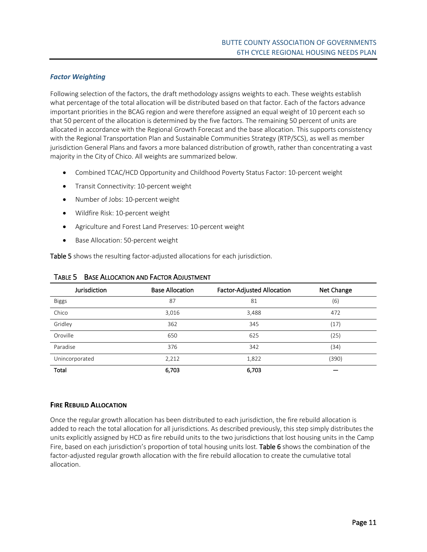#### *Factor Weighting*

Following selection of the factors, the draft methodology assigns weights to each. These weights establish what percentage of the total allocation will be distributed based on that factor. Each of the factors advance important priorities in the BCAG region and were therefore assigned an equal weight of 10 percent each so that 50 percent of the allocation is determined by the five factors. The remaining 50 percent of units are allocated in accordance with the Regional Growth Forecast and the base allocation. This supports consistency with the Regional Transportation Plan and Sustainable Communities Strategy (RTP/SCS), as well as member jurisdiction General Plans and favors a more balanced distribution of growth, rather than concentrating a vast majority in the City of Chico. All weights are summarized below.

- Combined TCAC/HCD Opportunity and Childhood Poverty Status Factor: 10-percent weight
- Transit Connectivity: 10-percent weight
- Number of Jobs: 10-percent weight
- Wildfire Risk: 10-percent weight
- Agriculture and Forest Land Preserves: 10-percent weight
- Base Allocation: 50-percent weight

Table 5 shows the resulting factor-adjusted allocations for each jurisdiction.

| Jurisdiction   | <b>Base Allocation</b> | <b>Factor-Adjusted Allocation</b> | Net Change |
|----------------|------------------------|-----------------------------------|------------|
| <b>Biggs</b>   | 87                     | 81                                | (6)        |
| Chico          | 3,016                  | 3,488                             | 472        |
| Gridley        | 362                    | 345                               | (17)       |
| Oroville       | 650                    | 625                               | (25)       |
| Paradise       | 376                    | 342                               | (34)       |
| Unincorporated | 2,212                  | 1,822                             | (390)      |
| Total          | 6,703                  | 6,703                             |            |

#### TABLE 5 BASE ALLOCATION AND FACTOR ADJUSTMENT

#### **FIRE REBUILD ALLOCATION**

Once the regular growth allocation has been distributed to each jurisdiction, the fire rebuild allocation is added to reach the total allocation for all jurisdictions. As described previously, this step simply distributes the units explicitly assigned by HCD as fire rebuild units to the two jurisdictions that lost housing units in the Camp Fire, based on each jurisdiction's proportion of total housing units lost. Table 6 shows the combination of the factor-adjusted regular growth allocation with the fire rebuild allocation to create the cumulative total allocation.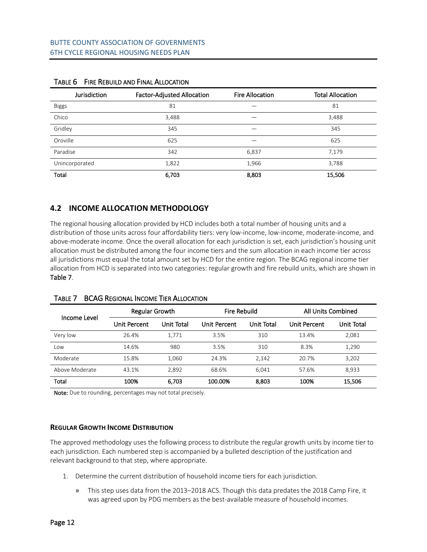| Jurisdiction   | <b>Factor-Adjusted Allocation</b> | <b>Fire Allocation</b> | <b>Total Allocation</b> |
|----------------|-----------------------------------|------------------------|-------------------------|
| <b>Biggs</b>   | 81                                |                        | 81                      |
| Chico          | 3,488                             |                        | 3,488                   |
| Gridley        | 345                               |                        | 345                     |
| Oroville       | 625                               |                        | 625                     |
| Paradise       | 342                               | 6,837                  | 7,179                   |
| Unincorporated | 1,822                             | 1,966                  | 3,788                   |
| Total          | 6,703                             | 8,803                  | 15,506                  |

#### TABLE 6 FIRE REBUILD AND FINAL ALLOCATION

#### **4.2 INCOME ALLOCATION METHODOLOGY**

The regional housing allocation provided by HCD includes both a total number of housing units and a distribution of those units across four affordability tiers: very low-income, low-income, moderate-income, and above-moderate income. Once the overall allocation for each jurisdiction is set, each jurisdiction's housing unit allocation must be distributed among the four income tiers and the sum allocation in each income tier across all jurisdictions must equal the total amount set by HCD for the entire region. The BCAG regional income tier allocation from HCD is separated into two categories: regular growth and fire rebuild units, which are shown in Table 7.

|                | Regular Growth |            | Fire Rebuild |            | All Units Combined |            |  |
|----------------|----------------|------------|--------------|------------|--------------------|------------|--|
| Income Level   | Unit Percent   | Unit Total | Unit Percent | Unit Total | Unit Percent       | Unit Total |  |
| Very low       | 26.4%          | 1,771      | 3.5%         | 310        | 13.4%              | 2,081      |  |
| Low            | 14.6%          | 980        | 3.5%         | 310        | 8.3%               | 1,290      |  |
| Moderate       | 15.8%<br>1.060 |            | 24.3%        | 2.142      | 20.7%              | 3,202      |  |
| Above Moderate | 43.1%          | 2.892      | 68.6%        | 6.041      | 57.6%              | 8,933      |  |
| Total          | 100%           | 6,703      | 100.00%      | 8,803      | 100%               | 15,506     |  |

#### TABLE 7 BCAG REGIONAL INCOME TIER ALLOCATION

Note: Due to rounding, percentages may not total precisely.

#### **REGULAR GROWTH INCOME DISTRIBUTION**

The approved methodology uses the following process to distribute the regular growth units by income tier to each jurisdiction. Each numbered step is accompanied by a bulleted description of the justification and relevant background to that step, where appropriate.

- 1. Determine the current distribution of household income tiers for each jurisdiction.
	- » This step uses data from the 2013–2018 ACS. Though this data predates the 2018 Camp Fire, it was agreed upon by PDG members as the best-available measure of household incomes.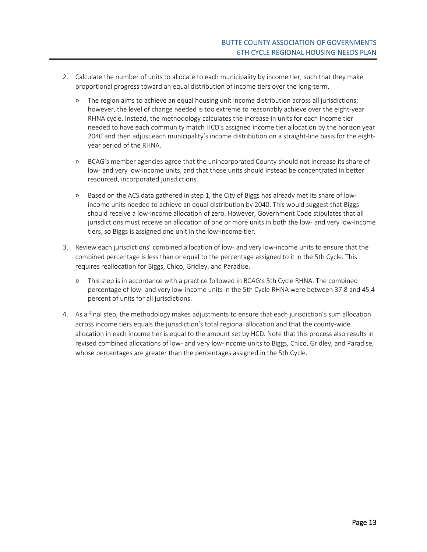- 2. Calculate the number of units to allocate to each municipality by income tier, such that they make proportional progress toward an equal distribution of income tiers over the long-term.
	- » The region aims to achieve an equal housing unit income distribution across all jurisdictions; however, the level of change needed is too extreme to reasonably achieve over the eight-year RHNA cycle. Instead, the methodology calculates the increase in units for each income tier needed to have each community match HCD's assigned income tier allocation by the horizon year 2040 and then adjust each municipality's income distribution on a straight-line basis for the eightyear period of the RHNA.
	- » BCAG's member agencies agree that the unincorporated County should not increase its share of low- and very low-income units, and that those units should instead be concentrated in better resourced, incorporated jurisdictions.
	- » Based on the ACS data gathered in step 1, the City of Biggs has already met its share of lowincome units needed to achieve an equal distribution by 2040. This would suggest that Biggs should receive a low-income allocation of zero. However, Government Code stipulates that all jurisdictions must receive an allocation of one or more units in both the low- and very low-income tiers, so Biggs is assigned one unit in the low-income tier.
- 3. Review each jurisdictions' combined allocation of low- and very low-income units to ensure that the combined percentage is less than or equal to the percentage assigned to it in the 5th Cycle. This requires reallocation for Biggs, Chico, Gridley, and Paradise.
	- » This step is in accordance with a practice followed in BCAG's 5th Cycle RHNA. The combined percentage of low- and very low-income units in the 5th Cycle RHNA were between 37.8 and 45.4 percent of units for all jurisdictions.
- 4. As a final step, the methodology makes adjustments to ensure that each jurisdiction's sum allocation across income tiers equals the jurisdiction's total regional allocation and that the county-wide allocation in each income tier is equal to the amount set by HCD. Note that this process also results in revised combined allocations of low- and very low-income units to Biggs, Chico, Gridley, and Paradise, whose percentages are greater than the percentages assigned in the 5th Cycle.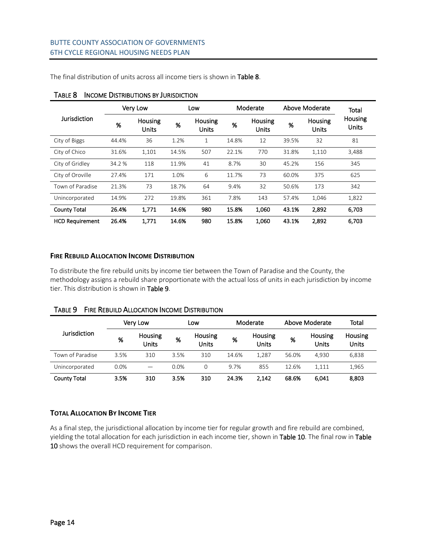TABLE 8 INCOME DISTRIBUTIONS BY JURISDICTION

|                        | Very Low |                                |       | Low                     |       | Moderate                |       | Above Moderate          |                         |
|------------------------|----------|--------------------------------|-------|-------------------------|-------|-------------------------|-------|-------------------------|-------------------------|
| Jurisdiction           | %        | <b>Housing</b><br><b>Units</b> | %     | Housing<br><b>Units</b> | %     | Housing<br><b>Units</b> | %     | Housing<br><b>Units</b> | Housing<br><b>Units</b> |
| City of Biggs          | 44.4%    | 36                             | 1.2%  | 1                       | 14.8% | 12                      | 39.5% | 32                      | 81                      |
| City of Chico          | 31.6%    | 1,101                          | 14.5% | 507                     | 22.1% | 770                     | 31.8% | 1,110                   | 3,488                   |
| City of Gridley        | 34.2 %   | 118                            | 11.9% | 41                      | 8.7%  | 30                      | 45.2% | 156                     | 345                     |
| City of Oroville       | 27.4%    | 171                            | 1.0%  | 6                       | 11.7% | 73                      | 60.0% | 375                     | 625                     |
| Town of Paradise       | 21.3%    | 73                             | 18.7% | 64                      | 9.4%  | 32                      | 50.6% | 173                     | 342                     |
| Unincorporated         | 14.9%    | 272                            | 19.8% | 361                     | 7.8%  | 143                     | 57.4% | 1,046                   | 1,822                   |
| <b>County Total</b>    | 26.4%    | 1,771                          | 14.6% | 980                     | 15.8% | 1,060                   | 43.1% | 2,892                   | 6,703                   |
| <b>HCD Requirement</b> | 26.4%    | 1,771                          | 14.6% | 980                     | 15.8% | 1,060                   | 43.1% | 2,892                   | 6,703                   |

The final distribution of units across all income tiers is shown in Table 8.

#### **FIRE REBUILD ALLOCATION INCOME DISTRIBUTION**

To distribute the fire rebuild units by income tier between the Town of Paradise and the County, the methodology assigns a rebuild share proportionate with the actual loss of units in each jurisdiction by income tier. This distribution is shown in Table 9.

|  | TABLE 9 FIRE REBUILD ALLOCATION INCOME DISTRIBUTION |  |
|--|-----------------------------------------------------|--|
|--|-----------------------------------------------------|--|

|                     | Very Low |                  | Low  |                         | Moderate |                         | Above Moderate |                         | Total                   |
|---------------------|----------|------------------|------|-------------------------|----------|-------------------------|----------------|-------------------------|-------------------------|
| Jurisdiction        | %        | Housing<br>Units | %    | Housing<br><b>Units</b> | %        | Housing<br><b>Units</b> | %              | Housing<br><b>Units</b> | Housing<br><b>Units</b> |
| Town of Paradise    | 3.5%     | 310              | 3.5% | 310                     | 14.6%    | 1.287                   | 56.0%          | 4.930                   | 6.838                   |
| Unincorporated      | 0.0%     |                  | 0.0% | 0                       | 9.7%     | 855                     | 12.6%          | 1,111                   | 1,965                   |
| <b>County Total</b> | 3.5%     | 310              | 3.5% | 310                     | 24.3%    | 2.142                   | 68.6%          | 6,041                   | 8,803                   |

#### **TOTAL ALLOCATION BY INCOME TIER**

As a final step, the jurisdictional allocation by income tier for regular growth and fire rebuild are combined, yielding the total allocation for each jurisdiction in each income tier, shown in Table 10. The final row in Table 10 shows the overall HCD requirement for comparison.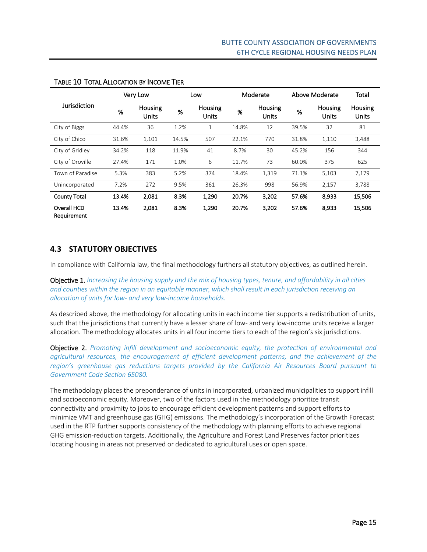| Jurisdiction               | Very Low |                         | Low   |                         | Moderate |                         | Above Moderate |                  | Total                   |
|----------------------------|----------|-------------------------|-------|-------------------------|----------|-------------------------|----------------|------------------|-------------------------|
|                            | %        | Housing<br><b>Units</b> | %     | Housing<br><b>Units</b> | %        | Housing<br><b>Units</b> | %              | Housing<br>Units | Housing<br><b>Units</b> |
| City of Biggs              | 44.4%    | 36                      | 1.2%  | 1                       | 14.8%    | 12                      | 39.5%          | 32               | 81                      |
| City of Chico              | 31.6%    | 1,101                   | 14.5% | 507                     | 22.1%    | 770                     | 31.8%          | 1,110            | 3,488                   |
| City of Gridley            | 34.2%    | 118                     | 11.9% | 41                      | 8.7%     | 30                      | 45.2%          | 156              | 344                     |
| City of Oroville           | 27.4%    | 171                     | 1.0%  | 6                       | 11.7%    | 73                      | 60.0%          | 375              | 625                     |
| Town of Paradise           | 5.3%     | 383                     | 5.2%  | 374                     | 18.4%    | 1,319                   | 71.1%          | 5,103            | 7,179                   |
| Unincorporated             | 7.2%     | 272                     | 9.5%  | 361                     | 26.3%    | 998                     | 56.9%          | 2,157            | 3,788                   |
| <b>County Total</b>        | 13.4%    | 2.081                   | 8.3%  | 1,290                   | 20.7%    | 3,202                   | 57.6%          | 8,933            | 15,506                  |
| Overall HCD<br>Requirement | 13.4%    | 2,081                   | 8.3%  | 1,290                   | 20.7%    | 3,202                   | 57.6%          | 8,933            | 15,506                  |

#### TABLE 10 TOTAL ALLOCATION BY INCOME TIER

#### **4.3 STATUTORY OBJECTIVES**

In compliance with California law, the final methodology furthers all statutory objectives, as outlined herein.

Objective 1. *Increasing the housing supply and the mix of housing types, tenure, and affordability in all cities and counties within the region in an equitable manner, which shall result in each jurisdiction receiving an allocation of units for low- and very low-income households.*

As described above, the methodology for allocating units in each income tier supports a redistribution of units, such that the jurisdictions that currently have a lesser share of low- and very low-income units receive a larger allocation. The methodology allocates units in all four income tiers to each of the region's six jurisdictions.

Objective 2. *Promoting infill development and socioeconomic equity, the protection of environmental and agricultural resources, the encouragement of efficient development patterns, and the achievement of the region's greenhouse gas reductions targets provided by the California Air Resources Board pursuant to Government Code Section 65080.*

The methodology places the preponderance of units in incorporated, urbanized municipalities to support infill and socioeconomic equity. Moreover, two of the factors used in the methodology prioritize transit connectivity and proximity to jobs to encourage efficient development patterns and support efforts to minimize VMT and greenhouse gas (GHG) emissions. The methodology's incorporation of the Growth Forecast used in the RTP further supports consistency of the methodology with planning efforts to achieve regional GHG emission-reduction targets. Additionally, the Agriculture and Forest Land Preserves factor prioritizes locating housing in areas not preserved or dedicated to agricultural uses or open space.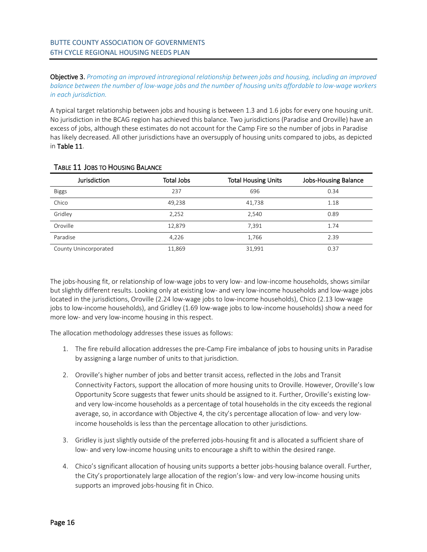Objective 3. *Promoting an improved intraregional relationship between jobs and housing, including an improved balance between the number of low-wage jobs and the number of housing units affordable to low-wage workers in each jurisdiction.*

A typical target relationship between jobs and housing is between 1.3 and 1.6 jobs for every one housing unit. No jurisdiction in the BCAG region has achieved this balance. Two jurisdictions (Paradise and Oroville) have an excess of jobs, although these estimates do not account for the Camp Fire so the number of jobs in Paradise has likely decreased. All other jurisdictions have an oversupply of housing units compared to jobs, as depicted in Table 11.

| <b>Jurisdiction</b>   | <b>Total Jobs</b> | <b>Total Housing Units</b> | <b>Jobs-Housing Balance</b> |
|-----------------------|-------------------|----------------------------|-----------------------------|
| <b>Biggs</b>          | 237               | 696                        | 0.34                        |
| Chico                 | 49.238            | 41,738                     | 1.18                        |
| Gridley               | 2,252             | 2,540                      | 0.89                        |
| Oroville              | 12.879            | 7,391                      | 1.74                        |
| Paradise              | 4,226             | 1,766                      | 2.39                        |
| County Unincorporated | 11.869            | 31.991                     | 0.37                        |

#### TABLE 11 JOBS TO HOUSING BALANCE

The jobs-housing fit, or relationship of low-wage jobs to very low- and low-income households, shows similar but slightly different results. Looking only at existing low- and very low-income households and low-wage jobs located in the jurisdictions, Oroville (2.24 low-wage jobs to low-income households), Chico (2.13 low-wage jobs to low-income households), and Gridley (1.69 low-wage jobs to low-income households) show a need for more low- and very low-income housing in this respect.

The allocation methodology addresses these issues as follows:

- 1. The fire rebuild allocation addresses the pre-Camp Fire imbalance of jobs to housing units in Paradise by assigning a large number of units to that jurisdiction.
- 2. Oroville's higher number of jobs and better transit access, reflected in the Jobs and Transit Connectivity Factors, support the allocation of more housing units to Oroville. However, Oroville's low Opportunity Score suggests that fewer units should be assigned to it. Further, Oroville's existing lowand very low-income households as a percentage of total households in the city exceeds the regional average, so, in accordance with Objective 4, the city's percentage allocation of low- and very lowincome households is less than the percentage allocation to other jurisdictions.
- 3. Gridley is just slightly outside of the preferred jobs-housing fit and is allocated a sufficient share of low- and very low-income housing units to encourage a shift to within the desired range.
- 4. Chico's significant allocation of housing units supports a better jobs-housing balance overall. Further, the City's proportionately large allocation of the region's low- and very low-income housing units supports an improved jobs-housing fit in Chico.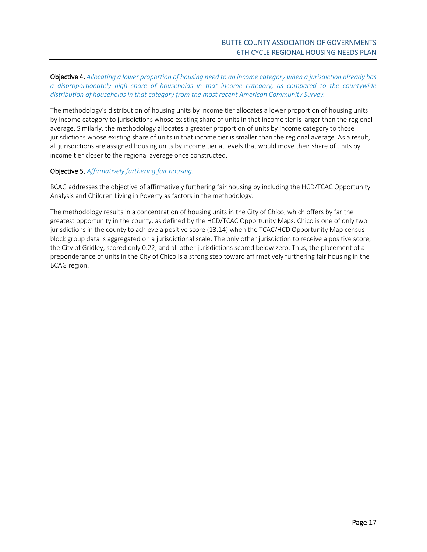Objective 4. *Allocating a lower proportion of housing need to an income category when a jurisdiction already has a disproportionately high share of households in that income category, as compared to the countywide distribution of households in that category from the most recent American Community Survey.*

The methodology's distribution of housing units by income tier allocates a lower proportion of housing units by income category to jurisdictions whose existing share of units in that income tier is larger than the regional average. Similarly, the methodology allocates a greater proportion of units by income category to those jurisdictions whose existing share of units in that income tier is smaller than the regional average. As a result, all jurisdictions are assigned housing units by income tier at levels that would move their share of units by income tier closer to the regional average once constructed.

#### Objective 5. *Affirmatively furthering fair housing.*

BCAG addresses the objective of affirmatively furthering fair housing by including the HCD/TCAC Opportunity Analysis and Children Living in Poverty as factors in the methodology.

The methodology results in a concentration of housing units in the City of Chico, which offers by far the greatest opportunity in the county, as defined by the HCD/TCAC Opportunity Maps. Chico is one of only two jurisdictions in the county to achieve a positive score (13.14) when the TCAC/HCD Opportunity Map census block group data is aggregated on a jurisdictional scale. The only other jurisdiction to receive a positive score, the City of Gridley, scored only 0.22, and all other jurisdictions scored below zero. Thus, the placement of a preponderance of units in the City of Chico is a strong step toward affirmatively furthering fair housing in the BCAG region.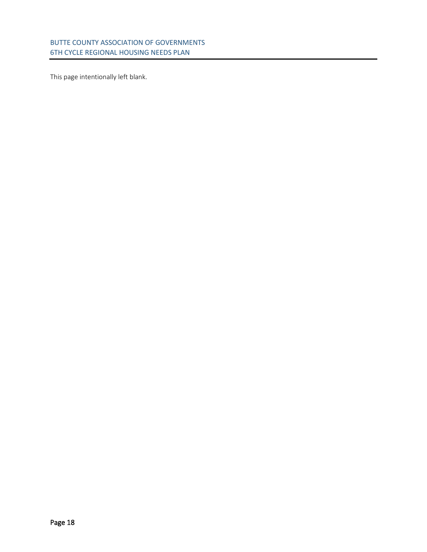This page intentionally left blank.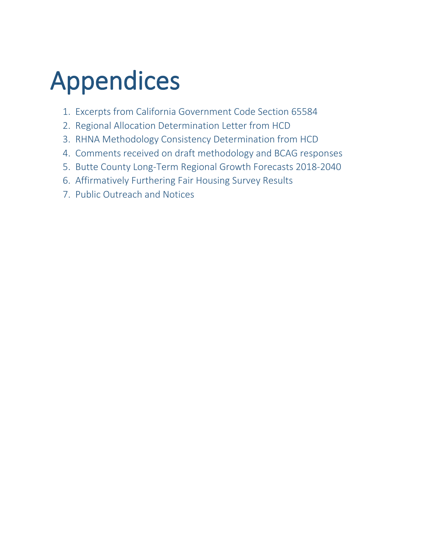# Appendices<br>1. Excerpts from California Government Code Section 65584

- 
- 2. Regional Allocation Determination Letter from HCD
- 3. RHNA Methodology Consistency Determination from HCD
- 4. Comments received on draft methodology and BCAG responses
- 5. Butte County Long-Term Regional Growth Forecasts 2018-2040
- 6. Affirmatively Furthering Fair Housing Survey Results
- 7. Public Outreach and Notices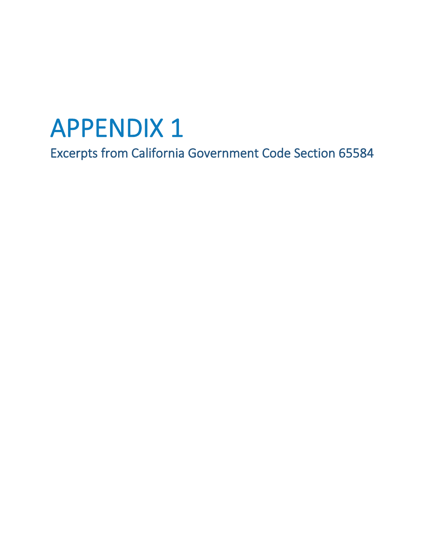APPENDIX 1<br>Excerpts from California Government Code Section 65584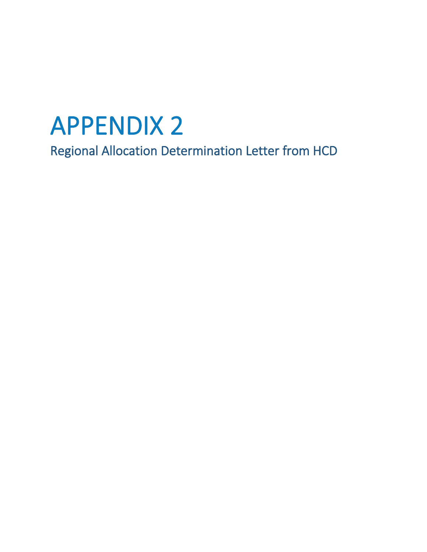

APPENDIX 2<br>Regional Allocation Determination Letter from HCD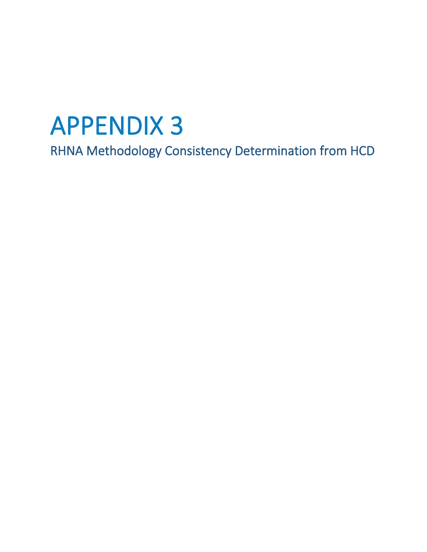

APPENDIX 3<br>RHNA Methodology Consistency Determination from HCD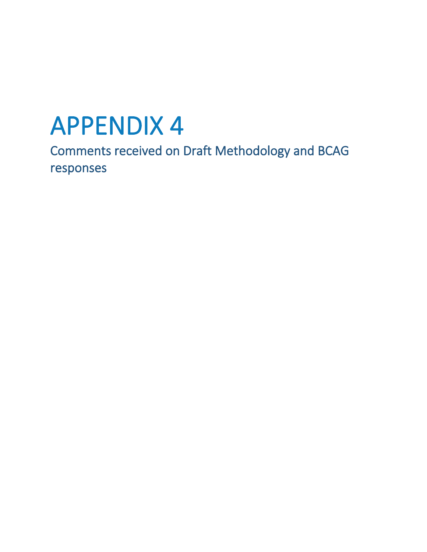APPENDIX 4<br>Comments received on Draft Methodology and BCAG responses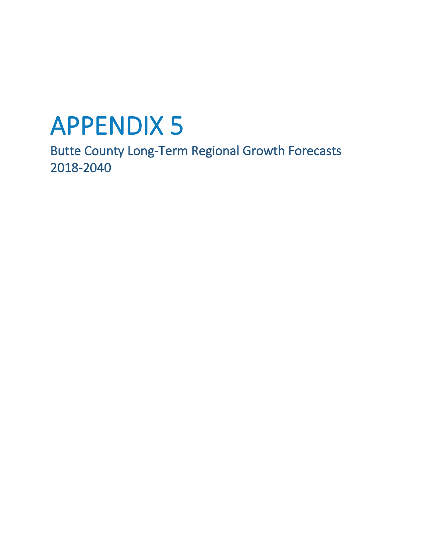APPENDIX 5<br>Butte County Long-Term Regional Growth Forecasts 2018-2040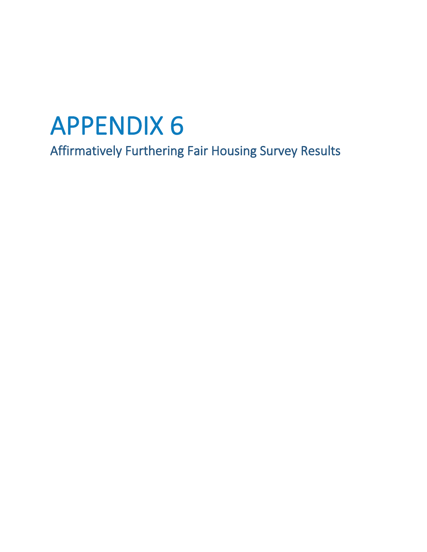

APPENDIX 6<br>Affirmatively Furthering Fair Housing Survey Results